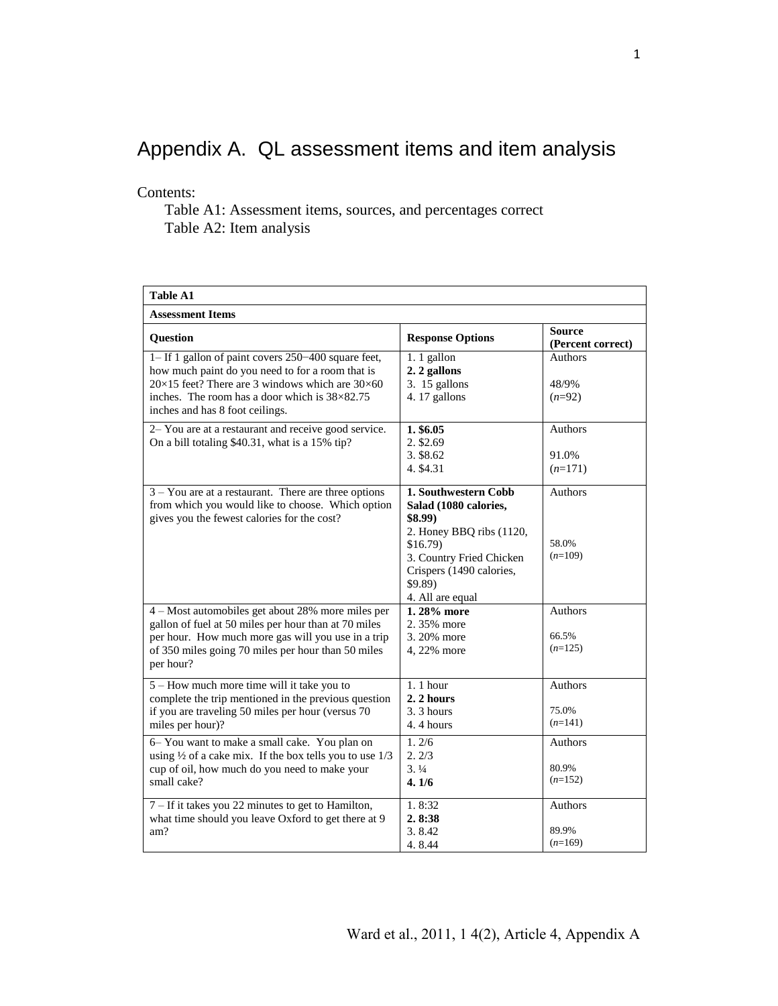## Appendix A. QL assessment items and item analysis

Contents:

Table A1: Assessment items, sources, and percentages correct Table A2: Item analysis

| <b>Table A1</b>                                                                                                                                                                                                                                                     |                                                                                                                                                                                           |                                      |  |  |  |
|---------------------------------------------------------------------------------------------------------------------------------------------------------------------------------------------------------------------------------------------------------------------|-------------------------------------------------------------------------------------------------------------------------------------------------------------------------------------------|--------------------------------------|--|--|--|
| <b>Assessment Items</b>                                                                                                                                                                                                                                             |                                                                                                                                                                                           |                                      |  |  |  |
| <b>Ouestion</b>                                                                                                                                                                                                                                                     | <b>Response Options</b>                                                                                                                                                                   | Source<br>(Percent correct)          |  |  |  |
| 1– If 1 gallon of paint covers 250–400 square feet,<br>how much paint do you need to for a room that is<br>$20\times15$ feet? There are 3 windows which are $30\times60$<br>inches. The room has a door which is $38\times82.75$<br>inches and has 8 foot ceilings. | 1.1 gallon<br>2. 2 gallons<br>3. 15 gallons<br>4.17 gallons                                                                                                                               | <b>Authors</b><br>48/9%<br>$(n=92)$  |  |  |  |
| 2- You are at a restaurant and receive good service.<br>On a bill totaling \$40.31, what is a 15% tip?                                                                                                                                                              | 1. \$6.05<br>2. \$2.69<br>3. \$8.62<br>4. \$4.31                                                                                                                                          | Authors<br>91.0%<br>$(n=171)$        |  |  |  |
| $3 - You$ are at a restaurant. There are three options<br>from which you would like to choose. Which option<br>gives you the fewest calories for the cost?                                                                                                          | 1. Southwestern Cobb<br>Salad (1080 calories,<br>\$8.99)<br>2. Honey BBQ ribs (1120,<br>$$16.79$ )<br>3. Country Fried Chicken<br>Crispers (1490 calories,<br>\$9.89)<br>4. All are equal | Authors<br>58.0%<br>$(n=109)$        |  |  |  |
| 4 - Most automobiles get about 28% more miles per<br>gallon of fuel at 50 miles per hour than at 70 miles<br>per hour. How much more gas will you use in a trip<br>of 350 miles going 70 miles per hour than 50 miles<br>per hour?                                  | 1.28% more<br>2.35% more<br>3.20% more<br>4, 22% more                                                                                                                                     | <b>Authors</b><br>66.5%<br>$(n=125)$ |  |  |  |
| 5 – How much more time will it take you to<br>complete the trip mentioned in the previous question<br>if you are traveling 50 miles per hour (versus 70<br>miles per hour)?                                                                                         | $1.1$ hour<br>2. 2 hours<br>3.3 hours<br>4.4 hours                                                                                                                                        | Authors<br>75.0%<br>$(n=141)$        |  |  |  |
| 6- You want to make a small cake. You plan on<br>using $\frac{1}{2}$ of a cake mix. If the box tells you to use $1/3$<br>cup of oil, how much do you need to make your<br>small cake?                                                                               | 1.2/6<br>2.2/3<br>3.1/4<br>4.1/6                                                                                                                                                          | Authors<br>80.9%<br>$(n=152)$        |  |  |  |
| 7 – If it takes you 22 minutes to get to Hamilton,<br>what time should you leave Oxford to get there at 9<br>am?                                                                                                                                                    | 1.8:32<br>2.8:38<br>3.8.42<br>4.8.44                                                                                                                                                      | Authors<br>89.9%<br>$(n=169)$        |  |  |  |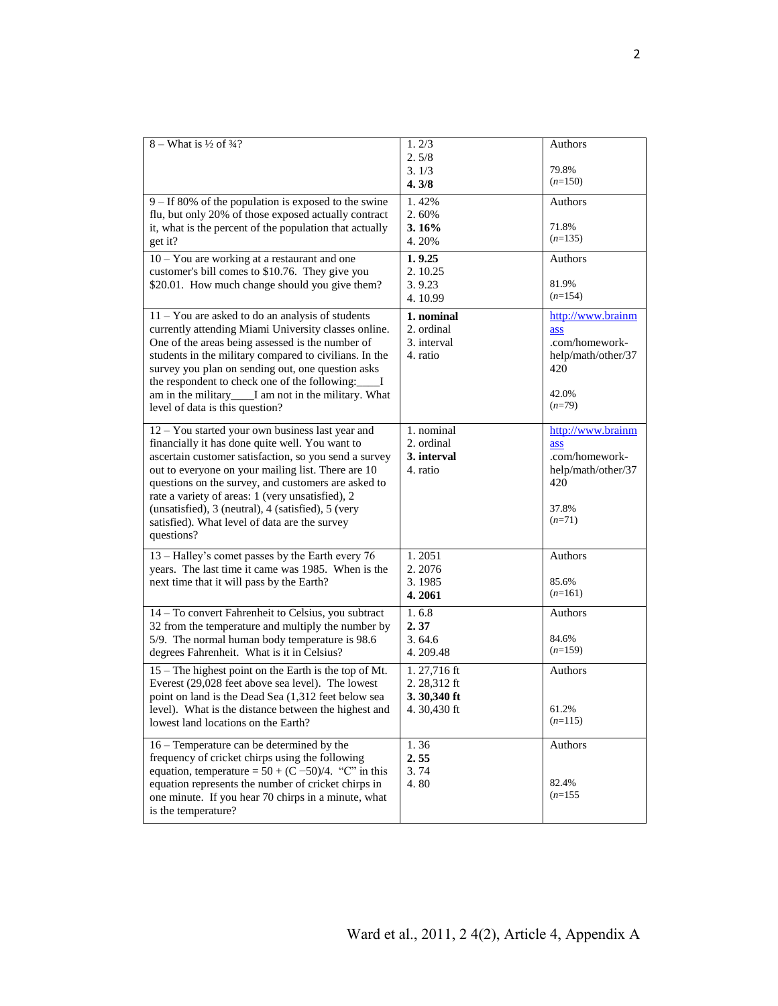| $8 - What is \frac{1}{2}$ of $\frac{3}{4}$ ?                                                                    | 1.2/3                      | Authors            |
|-----------------------------------------------------------------------------------------------------------------|----------------------------|--------------------|
|                                                                                                                 | 2.5/8<br>3.1/3             | 79.8%              |
|                                                                                                                 | 4.3/8                      | $(n=150)$          |
| $9 - If 80\%$ of the population is exposed to the swine                                                         | 1.42%                      | Authors            |
| flu, but only 20% of those exposed actually contract<br>it, what is the percent of the population that actually | 2.60%<br>3.16%             | 71.8%              |
| get it?                                                                                                         | 4.20%                      | $(n=135)$          |
| 10 - You are working at a restaurant and one                                                                    | 1.9.25                     | Authors            |
| customer's bill comes to \$10.76. They give you                                                                 | 2.10.25                    |                    |
| \$20.01. How much change should you give them?                                                                  | 3.9.23                     | 81.9%              |
|                                                                                                                 | 4.10.99                    | $(n=154)$          |
| 11 - You are asked to do an analysis of students                                                                | 1. nominal                 | http://www.brainm  |
| currently attending Miami University classes online.                                                            | 2. ordinal                 | ass                |
| One of the areas being assessed is the number of                                                                | 3. interval                | .com/homework-     |
| students in the military compared to civilians. In the                                                          | 4. ratio                   | help/math/other/37 |
| survey you plan on sending out, one question asks                                                               |                            | 420                |
| the respondent to check one of the following:_____I                                                             |                            | 42.0%              |
| am in the military____I am not in the military. What<br>level of data is this question?                         |                            | $(n=79)$           |
|                                                                                                                 |                            |                    |
| 12 - You started your own business last year and                                                                | 1. nominal                 | http://www.brainm  |
| financially it has done quite well. You want to                                                                 | 2. ordinal                 | ass                |
| ascertain customer satisfaction, so you send a survey                                                           | 3. interval                | .com/homework-     |
| out to everyone on your mailing list. There are 10                                                              | 4. ratio                   | help/math/other/37 |
| questions on the survey, and customers are asked to<br>rate a variety of areas: 1 (very unsatisfied), 2         |                            | 420                |
| (unsatisfied), 3 (neutral), 4 (satisfied), 5 (very                                                              |                            | 37.8%              |
| satisfied). What level of data are the survey                                                                   |                            | $(n=71)$           |
| questions?                                                                                                      |                            |                    |
| 13 - Halley's comet passes by the Earth every 76                                                                | 1.2051                     | Authors            |
| years. The last time it came was 1985. When is the                                                              | 2.2076                     |                    |
| next time that it will pass by the Earth?                                                                       | 3.1985                     | 85.6%              |
|                                                                                                                 | 4.2061                     | $(n=161)$          |
| 14 - To convert Fahrenheit to Celsius, you subtract                                                             | 1.68                       | Authors            |
| 32 from the temperature and multiply the number by                                                              | 2.37                       |                    |
| 5/9. The normal human body temperature is 98.6                                                                  | 3.64.6                     | 84.6%<br>$(n=159)$ |
| degrees Fahrenheit. What is it in Celsius?                                                                      | 4.209.48                   |                    |
| 15 – The highest point on the Earth is the top of Mt.                                                           | 1.27,716 ft                | Authors            |
| Everest (29,028 feet above sea level). The lowest                                                               | 2.28,312 ft                |                    |
| point on land is the Dead Sea (1,312 feet below sea<br>level). What is the distance between the highest and     | 3.30,340 ft<br>4.30,430 ft | 61.2%              |
| lowest land locations on the Earth?                                                                             |                            | $(n=115)$          |
|                                                                                                                 |                            |                    |
| 16 – Temperature can be determined by the                                                                       | 1.36                       | Authors            |
| frequency of cricket chirps using the following<br>equation, temperature = $50 + (C - 50)/4$ . "C" in this      | 2.55<br>3.74               |                    |
| equation represents the number of cricket chirps in                                                             | 4.80                       | 82.4%              |
| one minute. If you hear 70 chirps in a minute, what                                                             |                            | $(n=155)$          |
| is the temperature?                                                                                             |                            |                    |
|                                                                                                                 |                            |                    |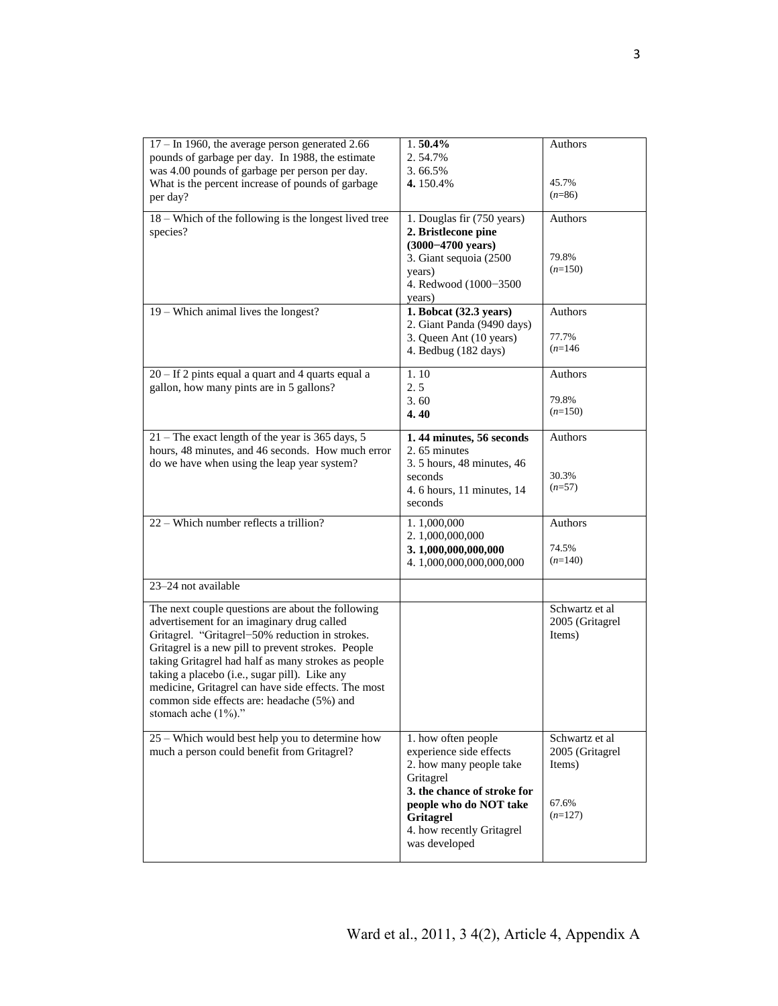| $17 - In 1960$ , the average person generated 2.66<br>pounds of garbage per day. In 1988, the estimate<br>was 4.00 pounds of garbage per person per day.<br>What is the percent increase of pounds of garbage<br>per day?                                                                                                                                                                                                                    | 1.50.4%<br>2.54.7%<br>3.66.5%<br>4.150.4%                                                                                                                                                                  | Authors<br>45.7%<br>$(n=86)$                                      |
|----------------------------------------------------------------------------------------------------------------------------------------------------------------------------------------------------------------------------------------------------------------------------------------------------------------------------------------------------------------------------------------------------------------------------------------------|------------------------------------------------------------------------------------------------------------------------------------------------------------------------------------------------------------|-------------------------------------------------------------------|
| 18 – Which of the following is the longest lived tree<br>species?<br>19 - Which animal lives the longest?                                                                                                                                                                                                                                                                                                                                    | 1. Douglas fir (750 years)<br>2. Bristlecone pine<br>$(3000 - 4700 \text{ years})$<br>3. Giant sequoia (2500<br>years)<br>4. Redwood (1000-3500<br>years)<br>1. Bobcat (32.3 years)                        | Authors<br>79.8%<br>$(n=150)$<br>Authors                          |
|                                                                                                                                                                                                                                                                                                                                                                                                                                              | 2. Giant Panda (9490 days)<br>3. Queen Ant (10 years)<br>4. Bedbug (182 days)                                                                                                                              | 77.7%<br>$(n=146)$                                                |
| $20 -$ If 2 pints equal a quart and 4 quarts equal a<br>gallon, how many pints are in 5 gallons?                                                                                                                                                                                                                                                                                                                                             | 1.10<br>2.5<br>3.60<br>4.40                                                                                                                                                                                | Authors<br>79.8%<br>$(n=150)$                                     |
| $21$ – The exact length of the year is 365 days, 5<br>hours, 48 minutes, and 46 seconds. How much error<br>do we have when using the leap year system?                                                                                                                                                                                                                                                                                       | 1.44 minutes, 56 seconds<br>2.65 minutes<br>3.5 hours, 48 minutes, 46<br>seconds<br>4.6 hours, 11 minutes, 14<br>seconds                                                                                   | Authors<br>30.3%<br>$(n=57)$                                      |
| 22 – Which number reflects a trillion?                                                                                                                                                                                                                                                                                                                                                                                                       | 1.1,000,000<br>2.1,000,000,000<br>3.1,000,000,000,000<br>4.1,000,000,000,000,000                                                                                                                           | Authors<br>74.5%<br>$(n=140)$                                     |
| 23-24 not available                                                                                                                                                                                                                                                                                                                                                                                                                          |                                                                                                                                                                                                            |                                                                   |
| The next couple questions are about the following<br>advertisement for an imaginary drug called<br>Gritagrel. "Gritagrel-50% reduction in strokes.<br>Gritagrel is a new pill to prevent strokes. People<br>taking Gritagrel had half as many strokes as people<br>taking a placebo (i.e., sugar pill). Like any<br>medicine, Gritagrel can have side effects. The most<br>common side effects are: headache (5%) and<br>stomach ache (1%)." |                                                                                                                                                                                                            | Schwartz et al<br>2005 (Gritagrel<br>Items)                       |
| 25 - Which would best help you to determine how<br>much a person could benefit from Gritagrel?                                                                                                                                                                                                                                                                                                                                               | 1. how often people<br>experience side effects<br>2. how many people take<br>Gritagrel<br>3. the chance of stroke for<br>people who do NOT take<br>Gritagrel<br>4. how recently Gritagrel<br>was developed | Schwartz et al<br>2005 (Gritagrel<br>Items)<br>67.6%<br>$(n=127)$ |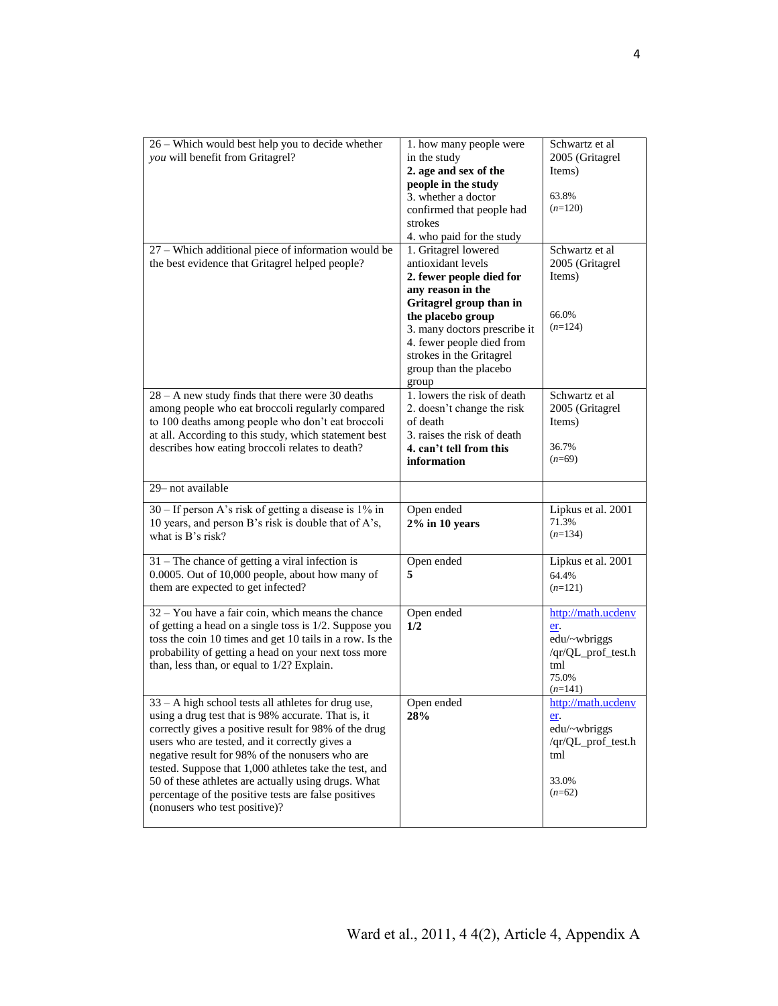|                                                                                       |                                            | Schwartz et al            |  |
|---------------------------------------------------------------------------------------|--------------------------------------------|---------------------------|--|
| 26 - Which would best help you to decide whether                                      | 1. how many people were                    |                           |  |
| you will benefit from Gritagrel?                                                      | in the study                               | 2005 (Gritagrel<br>Items) |  |
|                                                                                       | 2. age and sex of the                      |                           |  |
|                                                                                       | people in the study<br>3. whether a doctor | 63.8%                     |  |
|                                                                                       |                                            | $(n=120)$                 |  |
|                                                                                       | confirmed that people had<br>strokes       |                           |  |
|                                                                                       |                                            |                           |  |
|                                                                                       | 4. who paid for the study                  |                           |  |
| 27 – Which additional piece of information would be                                   | 1. Gritagrel lowered                       | Schwartz et al            |  |
| the best evidence that Gritagrel helped people?                                       | antioxidant levels                         | 2005 (Gritagrel           |  |
|                                                                                       | 2. fewer people died for                   | Items)                    |  |
|                                                                                       | any reason in the                          |                           |  |
|                                                                                       | Gritagrel group than in                    |                           |  |
|                                                                                       | the placebo group                          | 66.0%<br>$(n=124)$        |  |
|                                                                                       | 3. many doctors prescribe it               |                           |  |
|                                                                                       | 4. fewer people died from                  |                           |  |
|                                                                                       | strokes in the Gritagrel                   |                           |  |
|                                                                                       | group than the placebo                     |                           |  |
|                                                                                       | group                                      |                           |  |
| $28 - A$ new study finds that there were 30 deaths                                    | 1. lowers the risk of death                | Schwartz et al            |  |
| among people who eat broccoli regularly compared                                      | 2. doesn't change the risk                 | 2005 (Gritagrel           |  |
| to 100 deaths among people who don't eat broccoli                                     | of death                                   | Items)                    |  |
| at all. According to this study, which statement best                                 | 3. raises the risk of death                |                           |  |
| describes how eating broccoli relates to death?                                       | 4. can't tell from this                    | 36.7%                     |  |
|                                                                                       | information                                | $(n=69)$                  |  |
|                                                                                       |                                            |                           |  |
| 29-not available                                                                      |                                            |                           |  |
|                                                                                       |                                            |                           |  |
| 30 – If person A's risk of getting a disease is 1% in                                 | Open ended                                 | Lipkus et al. 2001        |  |
| 10 years, and person B's risk is double that of A's,                                  | $2\%$ in 10 years                          | 71.3%                     |  |
| what is B's risk?                                                                     |                                            | $(n=134)$                 |  |
|                                                                                       |                                            |                           |  |
| $31$ – The chance of getting a viral infection is                                     | Open ended                                 | Lipkus et al. 2001        |  |
| 0.0005. Out of 10,000 people, about how many of                                       | 5                                          | 64.4%                     |  |
| them are expected to get infected?                                                    |                                            | $(n=121)$                 |  |
|                                                                                       |                                            |                           |  |
| $32 -$ You have a fair coin, which means the chance                                   | Open ended                                 | http://math.ucdenv        |  |
| of getting a head on a single toss is 1/2. Suppose you                                | 1/2                                        | er.                       |  |
| toss the coin 10 times and get 10 tails in a row. Is the                              |                                            | edu/~wbriggs              |  |
| probability of getting a head on your next toss more                                  |                                            | /qr/QL_prof_test.h        |  |
| than, less than, or equal to $1/2$ ? Explain.                                         |                                            | tml<br>75.0%              |  |
|                                                                                       |                                            | $(n=141)$                 |  |
|                                                                                       |                                            | http://math.ucdeny        |  |
| 33 - A high school tests all athletes for drug use,                                   | Open ended<br>28%                          |                           |  |
| using a drug test that is 98% accurate. That is, it                                   |                                            | er.                       |  |
| correctly gives a positive result for 98% of the drug                                 |                                            | edu/~wbriggs              |  |
| users who are tested, and it correctly gives a                                        |                                            | /qr/QL_prof_test.h<br>tml |  |
| negative result for 98% of the nonusers who are                                       |                                            |                           |  |
| tested. Suppose that 1,000 athletes take the test, and                                |                                            | 33.0%                     |  |
| 50 of these athletes are actually using drugs. What                                   |                                            | $(n=62)$                  |  |
| percentage of the positive tests are false positives<br>(nonusers who test positive)? |                                            |                           |  |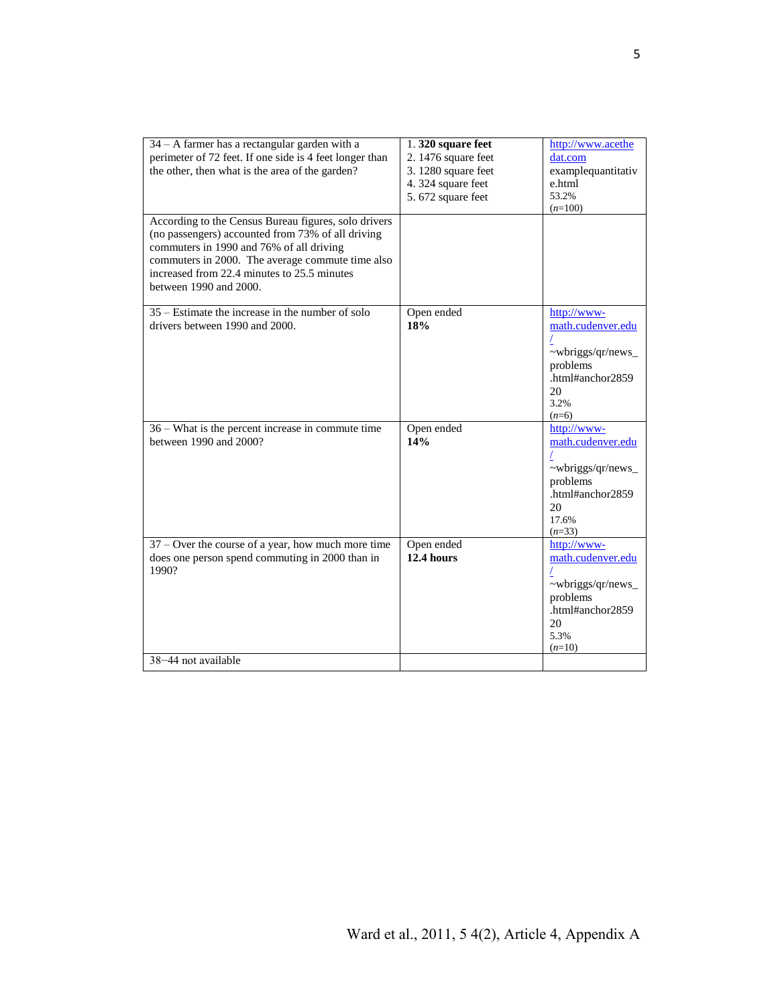| 34 - A farmer has a rectangular garden with a           | 1.320 square feet   | http://www.acethe  |
|---------------------------------------------------------|---------------------|--------------------|
| perimeter of 72 feet. If one side is 4 feet longer than | 2. 1476 square feet | dat.com            |
| the other, then what is the area of the garden?         | 3. 1280 square feet | examplequantitativ |
|                                                         | 4.324 square feet   | e.html             |
|                                                         |                     | 53.2%              |
|                                                         | 5.672 square feet   | $(n=100)$          |
|                                                         |                     |                    |
| According to the Census Bureau figures, solo drivers    |                     |                    |
| (no passengers) accounted from 73% of all driving       |                     |                    |
| commuters in 1990 and 76% of all driving                |                     |                    |
| commuters in 2000. The average commute time also        |                     |                    |
| increased from 22.4 minutes to 25.5 minutes             |                     |                    |
| between 1990 and 2000.                                  |                     |                    |
|                                                         |                     |                    |
| $35 -$ Estimate the increase in the number of solo      | Open ended          | http://www-        |
|                                                         |                     |                    |
| drivers between 1990 and 2000.                          | 18%                 | math.cudenver.edu  |
|                                                         |                     |                    |
|                                                         |                     | ~wbriggs/qr/news_  |
|                                                         |                     | problems           |
|                                                         |                     | .html#anchor2859   |
|                                                         |                     | 20                 |
|                                                         |                     | 3.2%               |
|                                                         |                     | $(n=6)$            |
| 36 – What is the percent increase in commute time       | Open ended          | http://www-        |
| between 1990 and 2000?                                  | 14%                 | math.cudenver.edu  |
|                                                         |                     |                    |
|                                                         |                     |                    |
|                                                         |                     | ~wbriggs/qr/news_  |
|                                                         |                     | problems           |
|                                                         |                     | .html#anchor2859   |
|                                                         |                     | 20                 |
|                                                         |                     | 17.6%              |
|                                                         |                     | $(n=33)$           |
| 37 – Over the course of a year, how much more time      | Open ended          | http://www-        |
| does one person spend commuting in 2000 than in         | <b>12.4 hours</b>   | math.cudenver.edu  |
| 1990?                                                   |                     |                    |
|                                                         |                     | ~wbriggs/qr/news_  |
|                                                         |                     | problems           |
|                                                         |                     | .html#anchor2859   |
|                                                         |                     |                    |
|                                                         |                     | 20                 |
|                                                         |                     | 5.3%               |
|                                                         |                     | $(n=10)$           |
| 38-44 not available                                     |                     |                    |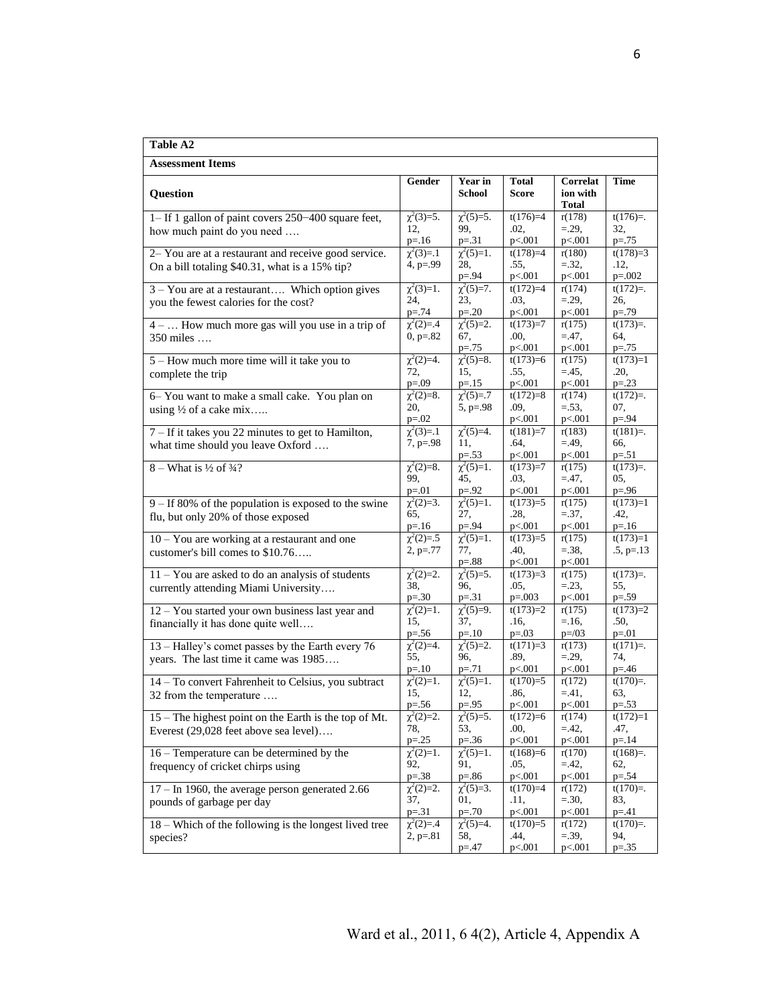| <b>Table A2</b>                                                                           |                                   |                              |                                     |                                      |                          |
|-------------------------------------------------------------------------------------------|-----------------------------------|------------------------------|-------------------------------------|--------------------------------------|--------------------------|
| <b>Assessment Items</b>                                                                   |                                   |                              |                                     |                                      |                          |
| <b>Question</b>                                                                           | Gender                            | Year in<br>School            | <b>Total</b><br>Score               | Correlat<br>ion with<br><b>Total</b> | <b>Time</b>              |
| 1– If 1 gallon of paint covers 250–400 square feet,<br>how much paint do you need         | $\chi^2(3)=5$ .<br>12,            | $\chi^2(5)=5$ .<br>99,       | $t(176)=4$<br>.02,                  | r(178)<br>$= 29,$                    | $t(176)=$ .<br>32,       |
|                                                                                           | $p = 16$                          | $p = 31$                     | p<.001                              | p<.001                               | $p = 75$                 |
| 2- You are at a restaurant and receive good service.                                      | $\chi^2(3)=1$                     | $\chi^2(5)=1$ .              | $t(178)=4$                          | r(180)                               | $t(178)=3$               |
| On a bill totaling \$40.31, what is a 15% tip?                                            | $4, p=.99$                        | 28,<br>$p = 94$              | .55,<br>p<.001                      | $=.32,$<br>p<.001                    | .12,<br>$p = 0.002$      |
| 3 - You are at a restaurant Which option gives                                            | $\chi^2(3)=1$ .                   | $\chi^2(5)=7$ .              | $t(172)=4$                          | r(174)                               | $t(172)=$ .              |
| you the fewest calories for the cost?                                                     | 24,<br>$p = 74$                   | 23,<br>$p = 0.20$            | .03,<br>p<.001                      | $= 29,$<br>p<.001                    | 26,<br>$p = 79$          |
| $4 - \ldots$ How much more gas will you use in a trip of                                  | $\chi^2(2)=.4$                    | $\chi^2(5)=2$ .              | $t(173)=7$                          | r(175)                               | $t(173)=$ .              |
| $350$ miles                                                                               | $0, p=.82$                        | 67,                          | .00,                                | $= 47,$                              | 64,                      |
| 5 – How much more time will it take you to                                                | $\chi^2(2)=4$ .                   | $p = 75$<br>$\chi^2(5)=8$ .  | p<.001<br>$t(173)=6$                | p<.001<br>r(175)                     | $p=.75$<br>$t(173)=1$    |
| complete the trip                                                                         | 72,                               | 15,                          | .55,                                | $= 45,$                              | .20,                     |
|                                                                                           | $p = .09$                         | $p = 15$                     | p<.001                              | p<.001                               | $p = 23$                 |
| 6- You want to make a small cake. You plan on<br>using $\frac{1}{2}$ of a cake mix        | $\chi^2(2)=8$ .<br>20,            | $\chi^2(5)=.7$<br>$5, p=.98$ | $t(172)=8$<br>.09,                  | r(174)<br>$=.53,$                    | $t(172)=$ .<br>07,       |
|                                                                                           | $p = 02$                          |                              | p<.001                              | p<.001                               | $p = .94$                |
| 7 – If it takes you 22 minutes to get to Hamilton,                                        | $\chi^2(3)=1$                     | $\chi^2(5)=4$ .              | $t(181)=7$                          | r(183)                               | $t(181)=$ .              |
| what time should you leave Oxford                                                         | $7, p=.98$                        | 11,<br>$p=.53$               | .64,<br>p<.001                      | $= 49,$<br>p<.001                    | 66,<br>$p = 51$          |
| $8 - What is \frac{1}{2}$ of $\frac{3}{4}$ ?                                              | $\chi^2(2)=8$ .                   | $\chi^2(5)=1$ .              | $t(173)=7$                          | r(175)                               | $t(173)=$ .              |
|                                                                                           | 99.                               | 45,                          | .03,                                | $= 47,$                              | 05,                      |
| $9 - If 80\%$ of the population is exposed to the swine                                   | $p = 01$<br>$\chi^2(2)=3$ .       | $p = .92$<br>$\chi^2(5)=1$ . | p<.001<br>$t(173)=5$                | p<.001<br>r(175)                     | $p = 0.96$<br>$t(173)=1$ |
| flu, but only 20% of those exposed                                                        | 65,                               | 27,                          | .28,                                | $=.37,$                              | .42,                     |
|                                                                                           | $p = 16$                          | $p = .94$                    | p<.001                              | p<.001                               | $p = 16$                 |
| $10 - You$ are working at a restaurant and one                                            | $\chi^2(2)=.5$                    | $\chi^2(5)=1$ .              | $t(173)=5$                          | r(175)<br>$=.38,$                    | $t(173)=1$               |
| customer's bill comes to \$10.76                                                          | $2, p=.77$                        | 77,<br>$p = 88$              | .40,<br>p<.001                      | p<.001                               | $.5, p=.13$              |
| 11 - You are asked to do an analysis of students                                          | $\chi^2(2)=2$ .                   | $\chi^2(5)=5$ .              | $t(173)=3$                          | r(175)                               | $t(173)=$ .              |
| currently attending Miami University                                                      | 38,<br>$p = 30$                   | 96,<br>$p = 31$              | .05,                                | $= 23,$                              | 55,                      |
| 12 - You started your own business last year and                                          | $\chi^2(2)=1$ .                   | $\chi^2(5)=9$ .              | $p=.003$<br>$\overline{t(173)} = 2$ | p<.001<br>r(175)                     | $p = .59$<br>$t(173)=2$  |
| financially it has done quite well                                                        | 15,                               | 37,                          | .16,                                | $= 16,$                              | .50,                     |
|                                                                                           | $p = 56$                          | $p = 10$                     | $p = 0.03$                          | $p = /03$                            | $p = 01$                 |
| 13 - Halley's comet passes by the Earth every 76<br>years. The last time it came was 1985 | $\chi^2(2)=\overline{4}$ .<br>55, | $\chi^2(5)=2$ .<br>96,       | $t(171)=3$<br>.89,                  | r(173)<br>$= 29,$                    | $t(171)=$ .<br>74,       |
|                                                                                           | $p = 10$                          | $p = 0.71$                   | p<.001                              | p<.001                               | $p = 46$                 |
| 14 - To convert Fahrenheit to Celsius, you subtract                                       | $\chi^2(2)=1$ .                   | $\chi^2(5)=1$ .              | $t(170)=5$                          | r(172)                               | $t(170)=$ .              |
| 32 from the temperature                                                                   | 15,<br>$p = 0.56$                 | 12,<br>$p=.95$               | .86,<br>p<.001                      | $= 41,$<br>p<.001                    | 63,<br>$p=.53$           |
| 15 – The highest point on the Earth is the top of Mt.                                     | $\chi^2(2)=2$ .                   | $\chi^2(5)=5$ .              | $t(172)=6$                          | r(174)                               | $t(172)=1$               |
| Everest (29,028 feet above sea level)                                                     | 78,                               | 53,                          | .00,                                | $= 42,$                              | .47,                     |
| 16 – Temperature can be determined by the                                                 | $p = 25$<br>$\chi^2(2)=1$ .       | $p = 36$<br>$\chi^2(5)=1$ .  | p<.001<br>$t(168)=6$                | p<.001<br>r(170)                     | $p = 14$<br>$t(168)=$ .  |
| frequency of cricket chirps using                                                         | 92,                               | 91,                          | .05,                                | $= 42,$                              | 62,                      |
|                                                                                           | $p=.38$                           | p=.86                        | p<.001                              | p<.001                               | $p = 54$                 |
| $17 - In 1960$ , the average person generated 2.66                                        | $\chi^2(2)=2$ .<br>37,            | $\chi^2(5)=3$ .<br>01,       | $t(170)=4$<br>.11,                  | r(172)<br>$=.30,$                    | $t(170)=$ .<br>83,       |
| pounds of garbage per day                                                                 | $p = 31$                          | $p=.70$                      | p<.001                              | p<.001                               | $p = 0.41$               |
| 18 – Which of the following is the longest lived tree                                     | $\chi^2(2)=14$                    | $\chi^2(5)=4$ .              | $t(170)=5$                          | r(172)                               | $t(170)=$ .              |
| species?                                                                                  | $2, p = 81$                       | 58,<br>$p = 47$              | .44,<br>p<.001                      | $=.39,$<br>p<.001                    | 94,<br>$p = 0.35$        |